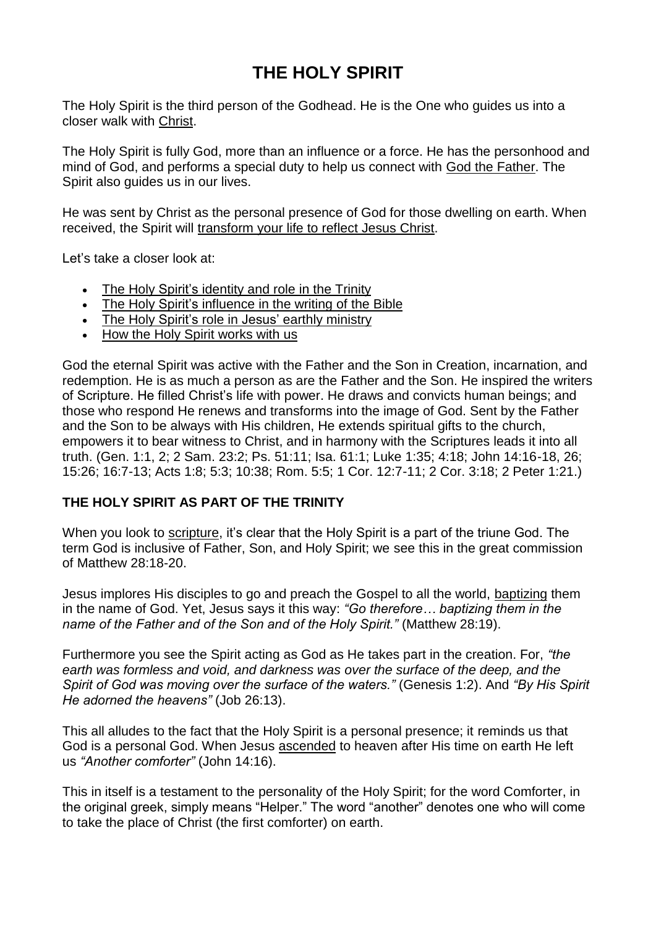# **THE HOLY SPIRIT**

The Holy Spirit is the third person of the Godhead. He is the One who guides us into a closer walk with [Christ.](https://www.adventist.org/son/)

The Holy Spirit is fully God, more than an influence or a force. He has the personhood and mind of God, and performs a special duty to help us connect with God the [Father.](https://www.adventist.org/father/) The Spirit also guides us in our lives.

He was sent by Christ as the personal presence of God for those dwelling on earth. When received, the Spirit will [transform](https://www.adventist.org/growing-in-christ/) your life to reflect Jesus Christ.

Let's take a closer look at:

- The Holy Spirit's [identity](https://www.adventist.org/holy-spirit/#identity) and role in the Trinity
- The Holy Spirit's [influence](https://www.adventist.org/holy-spirit/#influence) in the writing of the Bible
- The Holy Spirit's role in Jesus' earthly [ministry](https://www.adventist.org/holy-spirit/#ministry)
- How the Holy Spirit [works](https://www.adventist.org/holy-spirit/#works) with us

God the eternal Spirit was active with the Father and the Son in Creation, incarnation, and redemption. He is as much a person as are the Father and the Son. He inspired the writers of Scripture. He filled Christ's life with power. He draws and convicts human beings; and those who respond He renews and transforms into the image of God. Sent by the Father and the Son to be always with His children, He extends spiritual gifts to the church, empowers it to bear witness to Christ, and in harmony with the Scriptures leads it into all truth. (Gen. 1:1, 2; 2 Sam. 23:2; Ps. 51:11; Isa. 61:1; Luke 1:35; 4:18; John 14:16-18, 26; 15:26; 16:7-13; Acts 1:8; 5:3; 10:38; Rom. 5:5; 1 Cor. 12:7-11; 2 Cor. 3:18; 2 Peter 1:21.)

### **THE HOLY SPIRIT AS PART OF THE TRINITY**

When you look to [scripture,](https://www.adventist.org/holy-scriptures/) it's clear that the Holy Spirit is a part of the triune God. The term God is inclusive of Father, Son, and Holy Spirit; we see this in the great commission of Matthew 28:18-20.

Jesus implores His disciples to go and preach the Gospel to all the world, [baptizing](https://www.adventist.org/baptism/) them in the name of God. Yet, Jesus says it this way: *"Go therefore… baptizing them in the name of the Father and of the Son and of the Holy Spirit."* (Matthew 28:19).

Furthermore you see the Spirit acting as God as He takes part in the creation. For, *"the earth was formless and void, and darkness was over the surface of the deep, and the Spirit of God was moving over the surface of the waters."* (Genesis 1:2). And *"By His Spirit He adorned the heavens"* (Job 26:13).

This all alludes to the fact that the Holy Spirit is a personal presence; it reminds us that God is a personal God. When Jesus [ascended](https://www.adventist.org/who-are-seventh-day-adventists/heaven-and-the-new-earth/) to heaven after His time on earth He left us *"Another comforter"* (John 14:16).

This in itself is a testament to the personality of the Holy Spirit; for the word Comforter, in the original greek, simply means "Helper." The word "another" denotes one who will come to take the place of Christ (the first comforter) on earth.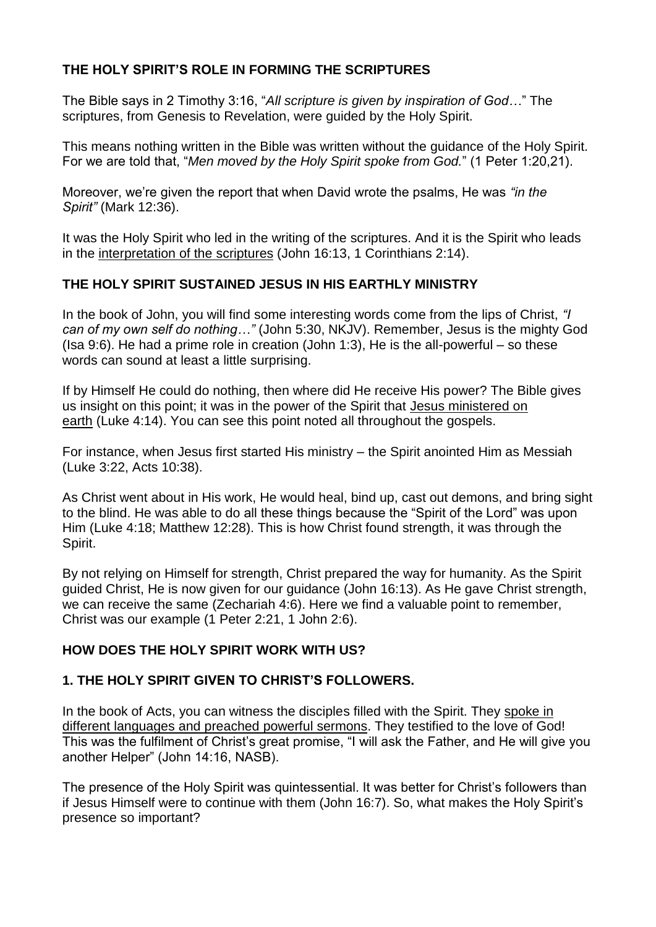## **THE HOLY SPIRIT'S ROLE IN FORMING THE SCRIPTURES**

The Bible says in 2 Timothy 3:16, "*All scripture is given by inspiration of God…*" The scriptures, from Genesis to Revelation, were guided by the Holy Spirit.

This means nothing written in the Bible was written without the guidance of the Holy Spirit. For we are told that, "*Men moved by the Holy Spirit spoke from God.*" (1 Peter 1:20,21).

Moreover, we're given the report that when David wrote the psalms, He was *"in the Spirit"* (Mark 12:36).

It was the Holy Spirit who led in the writing of the scriptures. And it is the Spirit who leads in the [interpretation](https://www.adventist.org/holy-scriptures/7-ways-prepare-study/) of the scriptures (John 16:13, 1 Corinthians 2:14).

### **THE HOLY SPIRIT SUSTAINED JESUS IN HIS EARTHLY MINISTRY**

In the book of John, you will find some interesting words come from the lips of Christ, *"I can of my own self do nothing…"* (John 5:30, NKJV). Remember, Jesus is the mighty God (Isa 9:6). He had a prime role in creation (John 1:3), He is the all-powerful – so these words can sound at least a little surprising.

If by Himself He could do nothing, then where did He receive His power? The Bible gives us insight on this point; it was in the power of the Spirit that Jesus [ministered](https://www.adventist.org/life-death-and-resurrection-of-christ/) on [earth](https://www.adventist.org/life-death-and-resurrection-of-christ/) (Luke 4:14). You can see this point noted all throughout the gospels.

For instance, when Jesus first started His ministry – the Spirit anointed Him as Messiah (Luke 3:22, Acts 10:38).

As Christ went about in His work, He would heal, bind up, cast out demons, and bring sight to the blind. He was able to do all these things because the "Spirit of the Lord" was upon Him (Luke 4:18; Matthew 12:28). This is how Christ found strength, it was through the Spirit.

By not relying on Himself for strength, Christ prepared the way for humanity. As the Spirit guided Christ, He is now given for our guidance (John 16:13). As He gave Christ strength, we can receive the same (Zechariah 4:6). Here we find a valuable point to remember, Christ was our example (1 Peter 2:21, 1 John 2:6).

### **HOW DOES THE HOLY SPIRIT WORK WITH US?**

### **1. THE HOLY SPIRIT GIVEN TO CHRIST'S FOLLOWERS.**

In the book of Acts, you can witness the disciples filled with the Spirit. They [spoke](https://www.adventist.org/spiritual-gifts-and-ministries/) in different [languages](https://www.adventist.org/spiritual-gifts-and-ministries/) and preached powerful sermons. They testified to the love of God! This was the fulfilment of Christ's great promise, "I will ask the Father, and He will give you another Helper" (John 14:16, NASB).

The presence of the Holy Spirit was quintessential. It was better for Christ's followers than if Jesus Himself were to continue with them (John 16:7). So, what makes the Holy Spirit's presence so important?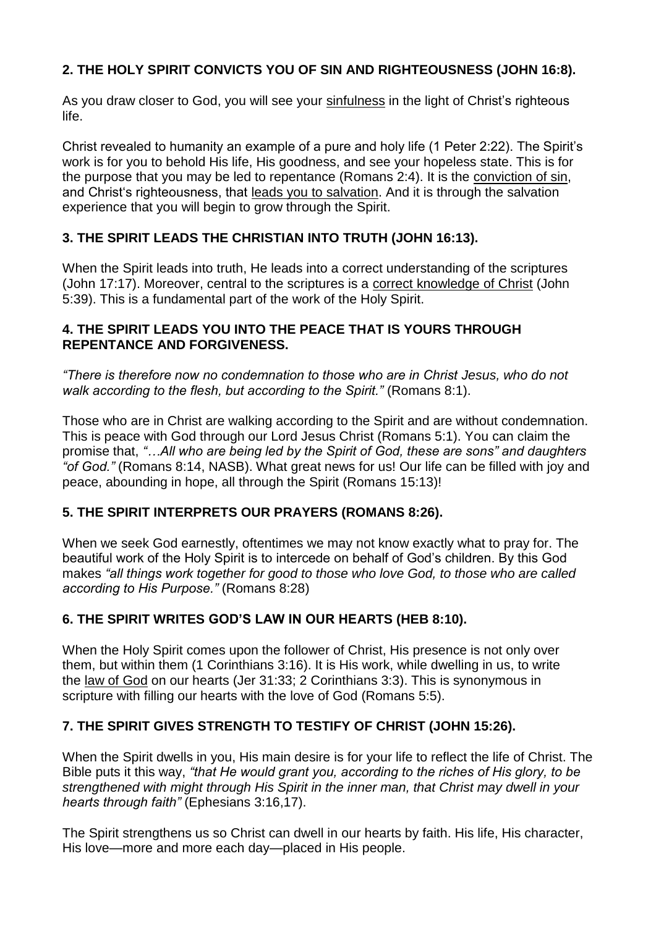# **2. THE HOLY SPIRIT CONVICTS YOU OF SIN AND RIGHTEOUSNESS (JOHN 16:8).**

As you draw closer to God, you will see your [sinfulness](https://www.adventist.org/nature-of-humanity/) in the light of Christ's righteous life.

Christ revealed to humanity an example of a pure and holy life (1 Peter 2:22). The Spirit's work is for you to behold His life, His goodness, and see your hopeless state. This is for the purpose that you may be led to repentance (Romans 2:4). It is the [conviction](https://www.adventist.org/the-great-controversy/) of sin, and Christ's righteousness, that leads you to [salvation.](https://www.adventist.org/experience-of-salvation/) And it is through the salvation experience that you will begin to grow through the Spirit.

## **3. THE SPIRIT LEADS THE CHRISTIAN INTO TRUTH (JOHN 16:13).**

When the Spirit leads into truth, He leads into a correct understanding of the scriptures (John 17:17). Moreover, central to the scriptures is a correct [knowledge](https://www.adventist.org/who-are-seventh-day-adventists/salvation-in-jesus-alone/) of Christ (John 5:39). This is a fundamental part of the work of the Holy Spirit.

#### **4. THE SPIRIT LEADS YOU INTO THE PEACE THAT IS YOURS THROUGH REPENTANCE AND FORGIVENESS.**

*"There is therefore now no condemnation to those who are in Christ Jesus, who do not walk according to the flesh, but according to the Spirit."* (Romans 8:1).

Those who are in Christ are walking according to the Spirit and are without condemnation. This is peace with God through our Lord Jesus Christ (Romans 5:1). You can claim the promise that, *"…All who are being led by the Spirit of God, these are sons" and daughters "of God."* (Romans 8:14, NASB). What great news for us! Our life can be filled with joy and peace, abounding in hope, all through the Spirit (Romans 15:13)!

### **5. THE SPIRIT INTERPRETS OUR PRAYERS (ROMANS 8:26).**

When we seek God earnestly, oftentimes we may not know exactly what to pray for. The beautiful work of the Holy Spirit is to intercede on behalf of God's children. By this God makes *"all things work together for good to those who love God, to those who are called according to His Purpose."* (Romans 8:28)

### **6. THE SPIRIT WRITES GOD'S LAW IN OUR HEARTS (HEB 8:10).**

When the Holy Spirit comes upon the follower of Christ, His presence is not only over them, but within them (1 Corinthians 3:16). It is His work, while dwelling in us, to write the law of [God](https://www.adventist.org/the-law-of-god/) on our hearts (Jer 31:33; 2 Corinthians 3:3). This is synonymous in scripture with filling our hearts with the love of God (Romans 5:5).

### **7. THE SPIRIT GIVES STRENGTH TO TESTIFY OF CHRIST (JOHN 15:26).**

When the Spirit dwells in you, His main desire is for your life to reflect the life of Christ. The Bible puts it this way, *"that He would grant you, according to the riches of His glory, to be strengthened with might through His Spirit in the inner man, that Christ may dwell in your hearts through faith"* (Ephesians 3:16,17).

The Spirit strengthens us so Christ can dwell in our hearts by faith. His life, His character, His love—more and more each day—placed in His people.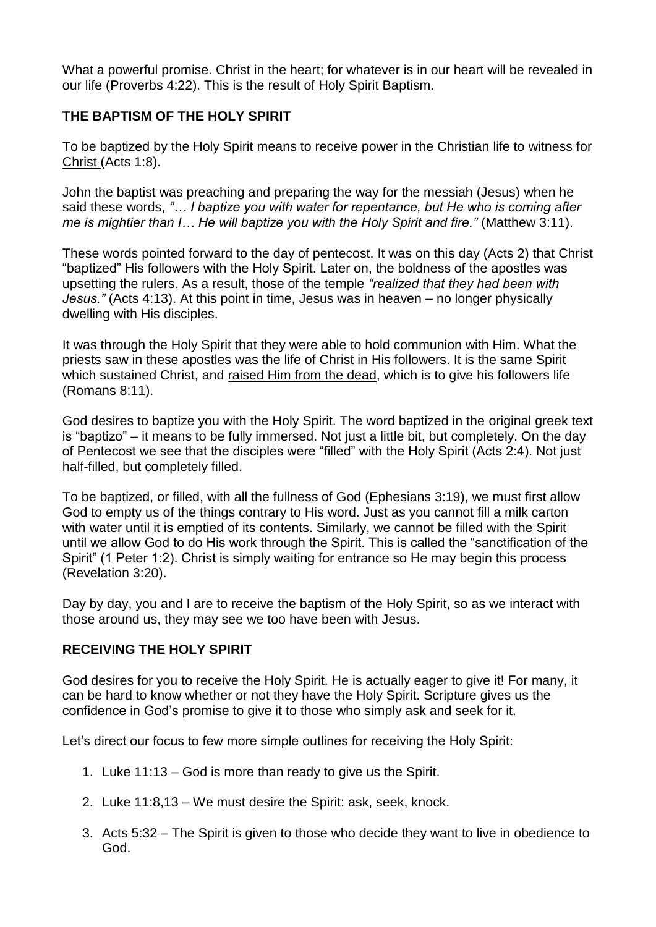What a powerful promise. Christ in the heart: for whatever is in our heart will be revealed in our life (Proverbs 4:22). This is the result of Holy Spirit Baptism.

## **THE BAPTISM OF THE HOLY SPIRIT**

To be baptized by the Holy Spirit means to receive power in the Christian life to [witness](https://www.adventist.org/who-are-seventh-day-adventists/the-adventist-church-today/) for [Christ](https://www.adventist.org/who-are-seventh-day-adventists/the-adventist-church-today/) (Acts 1:8).

John the baptist was preaching and preparing the way for the messiah (Jesus) when he said these words, *"… I baptize you with water for repentance, but He who is coming after me is mightier than I… He will baptize you with the Holy Spirit and fire."* (Matthew 3:11).

These words pointed forward to the day of pentecost. It was on this day (Acts 2) that Christ "baptized" His followers with the Holy Spirit. Later on, the boldness of the apostles was upsetting the rulers. As a result, those of the temple *"realized that they had been with Jesus."* (Acts 4:13). At this point in time, Jesus was in heaven – no longer physically dwelling with His disciples.

It was through the Holy Spirit that they were able to hold communion with Him. What the priests saw in these apostles was the life of Christ in His followers. It is the same Spirit which sustained Christ, and [raised](https://www.adventist.org/death-and-resurrection/) Him from the dead, which is to give his followers life (Romans 8:11).

God desires to baptize you with the Holy Spirit. The word baptized in the original greek text is "baptizo" – it means to be fully immersed. Not just a little bit, but completely. On the day of Pentecost we see that the disciples were "filled" with the Holy Spirit (Acts 2:4). Not just half-filled, but completely filled.

To be baptized, or filled, with all the fullness of God (Ephesians 3:19), we must first allow God to empty us of the things contrary to His word. Just as you cannot fill a milk carton with water until it is emptied of its contents. Similarly, we cannot be filled with the Spirit until we allow God to do His work through the Spirit. This is called the "sanctification of the Spirit" (1 Peter 1:2). Christ is simply waiting for entrance so He may begin this process (Revelation 3:20).

Day by day, you and I are to receive the baptism of the Holy Spirit, so as we interact with those around us, they may see we too have been with Jesus.

### **RECEIVING THE HOLY SPIRIT**

God desires for you to receive the Holy Spirit. He is actually eager to give it! For many, it can be hard to know whether or not they have the Holy Spirit. Scripture gives us the confidence in God's promise to give it to those who simply ask and seek for it.

Let's direct our focus to few more simple outlines for receiving the Holy Spirit:

- 1. Luke 11:13 God is more than ready to give us the Spirit.
- 2. Luke 11:8,13 We must desire the Spirit: ask, seek, knock.
- 3. Acts 5:32 The Spirit is given to those who decide they want to live in obedience to God.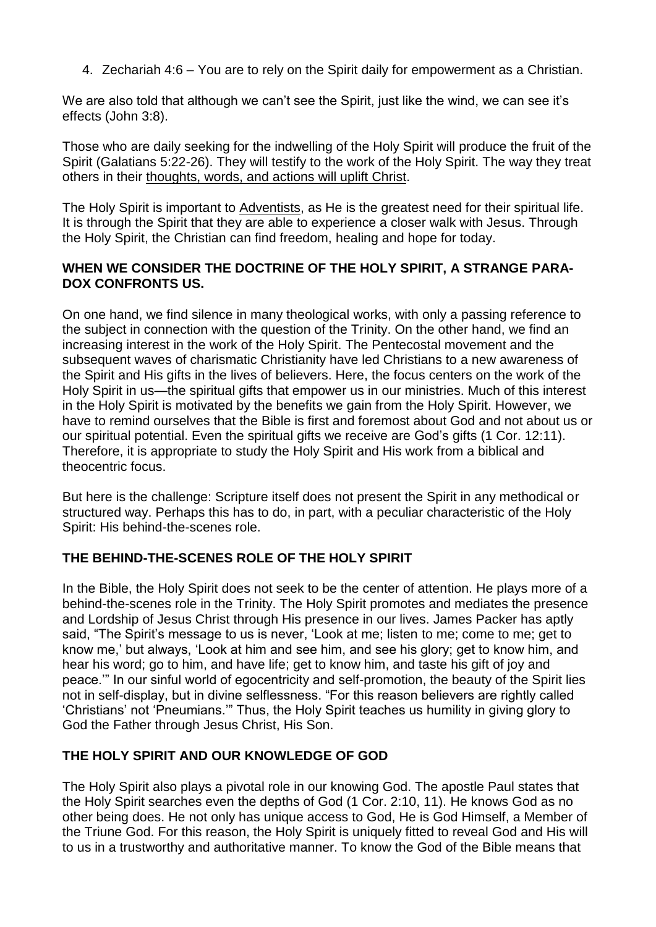4. Zechariah 4:6 – You are to rely on the Spirit daily for empowerment as a Christian.

We are also told that although we can't see the Spirit, just like the wind, we can see it's effects (John 3:8).

Those who are daily seeking for the indwelling of the Holy Spirit will produce the fruit of the Spirit (Galatians 5:22-26). They will testify to the work of the Holy Spirit. The way they treat others in their [thoughts,](https://www.adventist.org/christian-behavior/) words, and actions will uplift Christ.

The Holy Spirit is important to [Adventists,](https://www.adventist.org/who-are-seventh-day-adventists/) as He is the greatest need for their spiritual life. It is through the Spirit that they are able to experience a closer walk with Jesus. Through the Holy Spirit, the Christian can find freedom, healing and hope for today.

#### **WHEN WE CONSIDER THE DOCTRINE OF THE HOLY SPIRIT, A STRANGE PARA-DOX CONFRONTS US.**

On one hand, we find silence in many theological works, with only a passing reference to the subject in connection with the question of the Trinity. On the other [hand,](https://www.adventist.org/holy-spirit/) we find an [increasing](https://www.adventist.org/holy-spirit/) interest in the work of the Holy Spirit. The Pentecostal movement and the subsequent waves of charismatic Christianity have led Christians to a new awareness of the Spirit and His gifts in the lives of believers. Here, the focus centers on the work of the Holy Spirit in us—the spiritual gifts that empower us in our ministries. Much of this interest in the Holy Spirit is motivated by the benefits we gain from the Holy Spirit. However, we have to remind ourselves that the Bible is first and foremost about God and not about us or our spiritual potential. Even the [spiritual](https://www.adventist.org/spiritual-gifts-and-ministries/) gifts we receive are God's gifts (1 Cor. 12:11). Therefore, it is appropriate to study the Holy Spirit and His work from a biblical and theocentric focus.

But here is the challenge: Scripture itself does not present the Spirit in any methodical or structured way. Perhaps this has to do, in part, with a peculiar characteristic of the Holy Spirit: His behind-the-scenes role.

### **THE BEHIND-THE-SCENES ROLE OF THE HOLY SPIRIT**

In the Bible, the Holy Spirit does not seek to be the center of attention. He plays more of a behind-the-scenes role in the Trinity. The Holy Spirit promotes and mediates the presence and Lordship of Jesus Christ through His presence in our lives. James Packer has aptly said, "The Spirit's message to us is never, 'Look at me; listen to me; come to me; get to know me,' but always, 'Look at him and see him, and see his glory; get to know him, and hear his word; go to him, and have life; get to know him, and taste his gift of joy and peace.'" In our sinful world of egocentricity and self-promotion, the beauty of the Spirit lies not in self-display, but in divine selflessness. "For this reason believers are rightly called 'Christians' not 'Pneumians.'" Thus, the Holy Spirit teaches us humility in giving glory to God the Father through Jesus Christ, His Son.

### **THE HOLY SPIRIT AND OUR KNOWLEDGE OF GOD**

The Holy Spirit also plays a pivotal role in our knowing God. The apostle Paul states that the Holy Spirit searches even the depths of God (1 Cor. 2:10, 11). He [knows](https://www.adventist.org/father/) God as no other being does. He not only has unique access to God, He is God Himself, a [Member](https://www.adventist.org/father/) of the [Triune](https://www.adventist.org/father/) God. For this reason, the Holy Spirit is uniquely fitted to reveal God and His will to us in a trustworthy and authoritative manner. To know the God of the Bible means that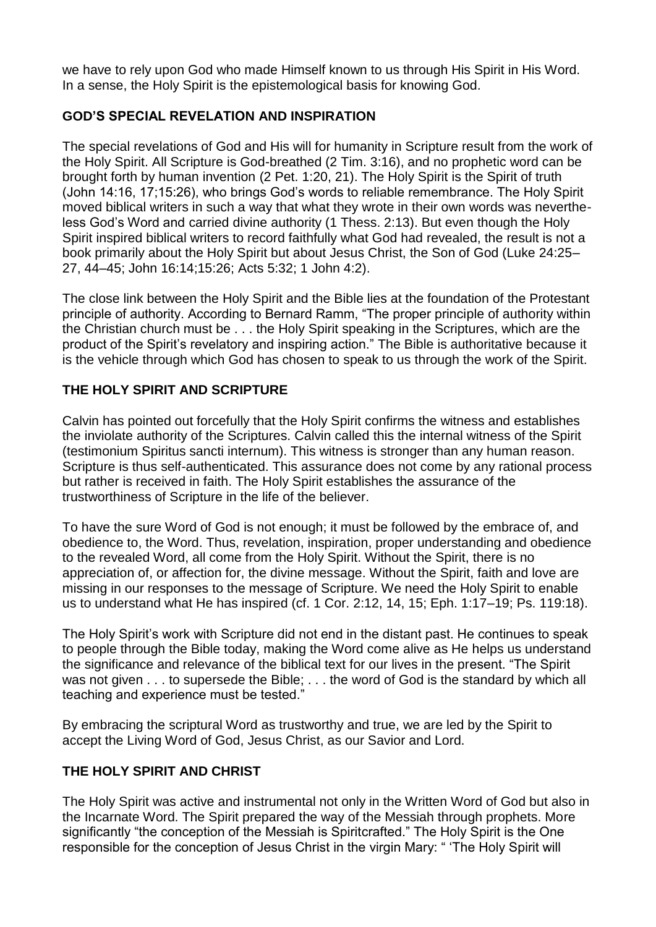we have to rely upon God who made Himself known to us through His Spirit in His Word. In a sense, the Holy Spirit is the epistemological basis for knowing God.

## **GOD'S SPECIAL REVELATION AND INSPIRATION**

The special revelations of God and His will for humanity in Scripture result from the work of the Holy Spirit. All Scripture is God-breathed (2 Tim. 3:16), and no prophetic word can be brought forth by human invention (2 Pet. 1:20, 21). The Holy Spirit is the Spirit of truth (John 14:16, 17;15:26), who brings God's words to reliable remembrance. The Holy Spirit moved biblical writers in such a way that what they wrote in their own words was nevertheless God's Word and carried divine authority (1 Thess. 2:13). But even though the Holy Spirit inspired biblical writers to record faithfully what God had revealed, the result is not a book primarily about the Holy Spirit but about Jesus Christ, the Son of God (Luke 24:25– 27, 44–45; John 16:14;15:26; Acts 5:32; 1 John 4:2).

The close link between the Holy Spirit and the Bible lies at the foundation of the Protestant principle of authority. According to Bernard Ramm, "The proper principle of authority within the Christian church must be . . . the Holy Spirit speaking in the Scriptures, which are the product of the Spirit's revelatory and inspiring action." The Bible is [authoritative](https://www.adventist.org/holy-scriptures/) because it is the vehicle [through](https://www.adventist.org/holy-scriptures/) which God has chosen to speak to us through the work of the Spirit.

## **THE HOLY SPIRIT AND SCRIPTURE**

Calvin has pointed out forcefully that the Holy Spirit confirms the witness and establishes the inviolate authority of the Scriptures. Calvin called this the internal witness of the Spirit (testimonium Spiritus sancti internum). This witness is stronger than any human reason. Scripture is thus self-authenticated. This assurance does not come by any rational process but rather is received in faith. The Holy Spirit establishes the assurance of the trustworthiness of Scripture in the life of the believer.

To have the sure Word of God is not enough; it must be followed by the embrace of, and obedience to, the Word. Thus, revelation, inspiration, proper understanding and obedience to the revealed Word, all come from the Holy Spirit. Without the Spirit, there is no appreciation of, or affection for, the divine message. Without the Spirit, faith and love are missing in our responses to the message of Scripture. We need the Holy Spirit to enable us to understand what He has inspired (cf. 1 Cor. 2:12, 14, 15; Eph. 1:17–19; Ps. 119:18).

The Holy Spirit's work with Scripture did not end in the distant past. He continues to speak to people through the Bible today, making the Word come alive as He helps us understand the significance and relevance of the biblical text for our lives in the present. "The Spirit was not given . . . to supersede the Bible; . . . the word of God is the standard by which all teaching and experience must be tested."

By embracing the scriptural Word as trustworthy and true, we are led by the Spirit to accept the Living Word of God, Jesus Christ, as our Savior and Lord.

## **THE HOLY SPIRIT AND CHRIST**

The Holy Spirit was active and instrumental not only in the Written Word of God but also in the Incarnate Word. The Spirit prepared the way of the Messiah through prophets. More significantly "the conception of the Messiah is Spiritcrafted." The Holy Spirit is the One responsible for the conception of Jesus Christ in the virgin Mary: " 'The Holy Spirit will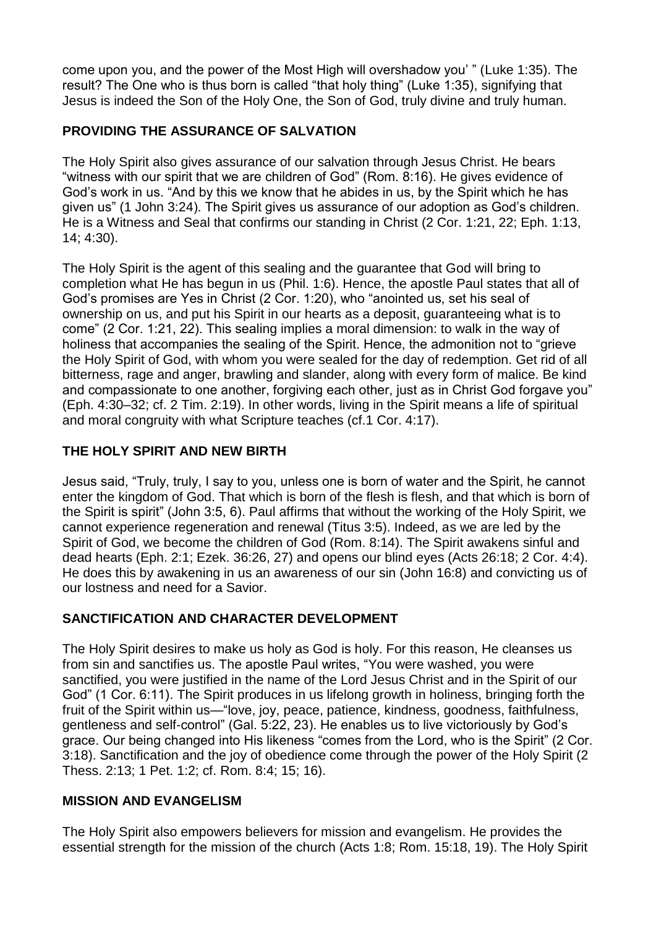come upon you, and the power of the Most High will overshadow you' " (Luke 1:35). The result? The One who is thus born is called "that holy thing" (Luke 1:35), signifying that Jesus is indeed the Son of the Holy One, the Son of God, truly divine and truly human.

## **PROVIDING THE ASSURANCE OF SALVATION**

The Holy Spirit also gives assurance of our salvation through Jesus Christ. He bears "witness with our spirit that we are children of God" (Rom. 8:16). He gives evidence of God's work in us. "And by this we know that he abides in us, by the Spirit which he has given us" (1 John 3:24). The Spirit gives us assurance of our adoption as God's children. He is a Witness and Seal that confirms our standing in Christ (2 Cor. 1:21, 22; Eph. 1:13, 14; 4:30).

The Holy Spirit is the agent of this sealing and the guarantee that God will bring to completion what He has begun in us (Phil. 1:6). Hence, the apostle Paul states that all of God's promises are Yes in Christ (2 Cor. 1:20), who "anointed us, set his seal of ownership on us, and put his Spirit in our hearts as a deposit, guaranteeing what is to come" (2 Cor. 1:21, 22). This sealing implies a moral dimension: to walk in the way of holiness that accompanies the sealing of the Spirit. Hence, the admonition not to "grieve the Holy Spirit of God, with whom you were sealed for the day of redemption. Get rid of all bitterness, rage and anger, brawling and slander, along with every form of malice. Be kind and compassionate to one another, forgiving each other, just as in Christ God forgave you" (Eph. 4:30–32; cf. 2 Tim. 2:19). In other words, living in the Spirit means a life of spiritual and moral congruity with what Scripture teaches (cf.1 Cor. 4:17).

## **THE HOLY SPIRIT AND NEW BIRTH**

Jesus said, "Truly, truly, I say to you, unless one is born of water and the Spirit, he cannot enter the kingdom of God. That which is born of the flesh is flesh, and that which is born of the Spirit is spirit" (John 3:5, 6). Paul affirms that without the working of the Holy Spirit, we cannot experience regeneration and renewal (Titus 3:5). Indeed, as we are led by the Spirit of God, we become the children of God (Rom. 8:14). The Spirit awakens sinful and dead hearts (Eph. 2:1; Ezek. 36:26, 27) and opens our blind eyes (Acts 26:18; 2 Cor. 4:4). He does this by awakening in us an awareness of our sin (John 16:8) and convicting us of our lostness and need for a Savior.

### **SANCTIFICATION AND CHARACTER DEVELOPMENT**

The Holy Spirit desires to make us holy as God is holy. For this reason, He cleanses us from sin and sanctifies us. The apostle Paul writes, "You were washed, you were sanctified, you were justified in the name of the Lord Jesus Christ and in the Spirit of our God" (1 Cor. 6:11). The Spirit produces in us lifelong growth in holiness, bringing forth the fruit of the Spirit within us—"love, joy, peace, patience, kindness, goodness, faithfulness, gentleness and self-control" (Gal. 5:22, 23). He enables us to live victoriously by God's grace. Our being changed into His likeness "comes from the Lord, who is the Spirit" (2 Cor. 3:18). Sanctification and the joy of obedience come through the power of the Holy Spirit (2 Thess. 2:13; 1 Pet. 1:2; cf. Rom. 8:4; 15; 16).

### **MISSION AND EVANGELISM**

The Holy Spirit also empowers believers for mission and [evangelism.](https://www.adventist.org/who-are-seventh-day-adventists/the-adventist-church-today/) He provides the [essential](https://www.adventist.org/who-are-seventh-day-adventists/the-adventist-church-today/) strength for the mission of the church (Acts 1:8; Rom. 15:18, 19). The Holy Spirit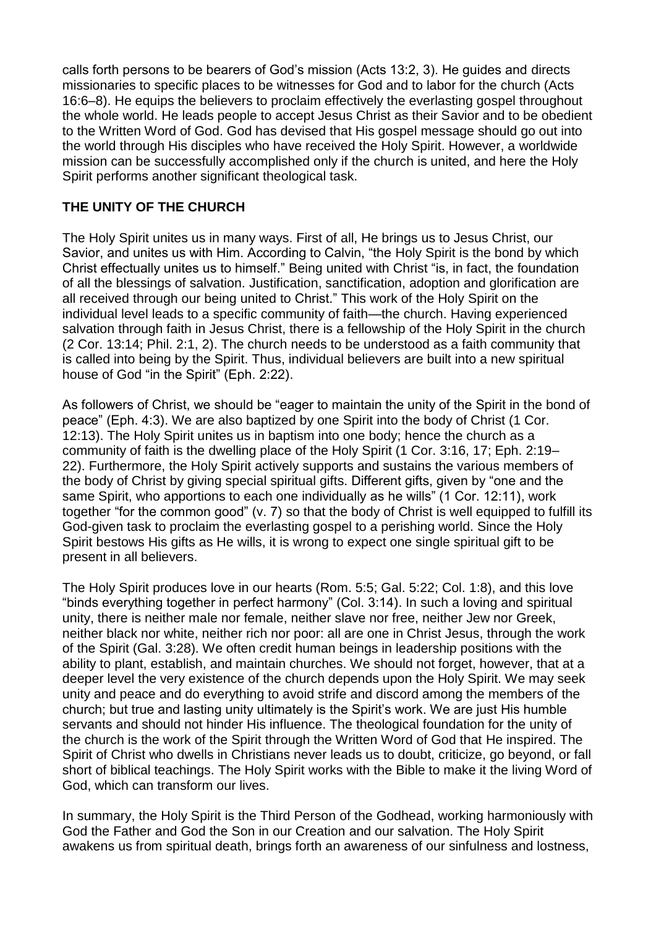calls forth persons to be bearers of God's mission (Acts 13:2, 3). He guides and directs missionaries to specific places to be witnesses for God and to labor for the church (Acts 16:6–8). He equips the believers to proclaim effectively the everlasting gospel throughout the whole world. He leads people to accept Jesus Christ as their Savior and to be obedient to the Written Word of God. God has devised that His gospel message should go out into the world through His disciples who have received the Holy Spirit. However, a worldwide mission can be successfully accomplished only if the church is united, and here the Holy Spirit performs another significant theological task.

## **THE UNITY OF THE CHURCH**

The Holy Spirit unites us in many ways. First of all, He brings us to Jesus Christ, our Savior, and unites us with Him. According to Calvin, "the Holy Spirit is the bond by which Christ effectually unites us to himself." Being united with Christ "is, in fact, the [foundation](https://www.adventist.org/unity-in-the-body-of-christ/) of all the blessings of salvation. Justification, [sanctification,](https://www.adventist.org/unity-in-the-body-of-christ/) adoption and glorification are all [received](https://www.adventist.org/unity-in-the-body-of-christ/) through our being united to Christ." This work of the Holy Spirit on the individual level leads to a specific community of faith—the church. Having experienced salvation through faith in Jesus Christ, there is a fellowship of the Holy Spirit in the church (2 Cor. 13:14; Phil. 2:1, 2). The church needs to be understood as a faith community that is called into being by the Spirit. Thus, individual believers are built into a new spiritual house of God "in the Spirit" (Eph. 2:22).

As followers of Christ, we should be "eager to maintain the unity of the Spirit in the bond of peace" (Eph. 4:3). We are also baptized by one Spirit into the body of Christ (1 Cor. 12:13). The Holy Spirit unites us in baptism into one body; hence the church as a community of faith is the dwelling place of the Holy Spirit (1 Cor. 3:16, 17; Eph. 2:19– 22). [Furthermore,](https://www.adventist.org/spiritual-gifts-and-ministries/) the Holy Spirit actively supports and sustains the various members of the body of Christ by giving special [spiritual](https://www.adventist.org/spiritual-gifts-and-ministries/) gifts. Different gifts, given by "one and the same Spirit, who apportions to each one individually as he wills" (1 Cor. 12:11), work together "for the common good" (v. 7) so that the body of Christ is well equipped to fulfill its God-given task to proclaim the everlasting gospel to a perishing world. Since the Holy Spirit bestows His gifts as He wills, it is wrong to expect one single spiritual gift to be present in all believers.

The Holy Spirit produces love in our hearts (Rom. 5:5; Gal. 5:22; Col. 1:8), and this love "binds everything together in perfect harmony" (Col. 3:14). In such a loving and spiritual unity, there is neither male nor female, neither slave nor free, neither Jew nor Greek, neither black nor white, neither rich nor poor: all are one in Christ Jesus, through the work of the Spirit (Gal. 3:28). We often credit human beings in leadership positions with the ability to plant, establish, and maintain churches. We should not forget, however, that at a deeper level the very existence of the church depends upon the Holy Spirit. We may seek unity and peace and do everything to avoid strife and discord among the members of the church; but true and lasting unity ultimately is the Spirit's work. We are just His humble servants and should not hinder His influence. The theological foundation for the unity of the church is the work of the Spirit through the Written Word of God that He inspired. The Spirit of Christ who dwells in Christians never leads us to doubt, criticize, go beyond, or fall short of biblical teachings. The Holy Spirit works with the Bible to make it the living Word of God, which can transform our lives.

In summary, the Holy Spirit is the Third Person of the Godhead, working [harmoniously](https://www.adventist.org/trinity/) with God the Father and God the Son in our Creation and our [salvation.](https://www.adventist.org/trinity/) The Holy Spirit awakens us from spiritual death, brings forth an awareness of our sinfulness and lostness,